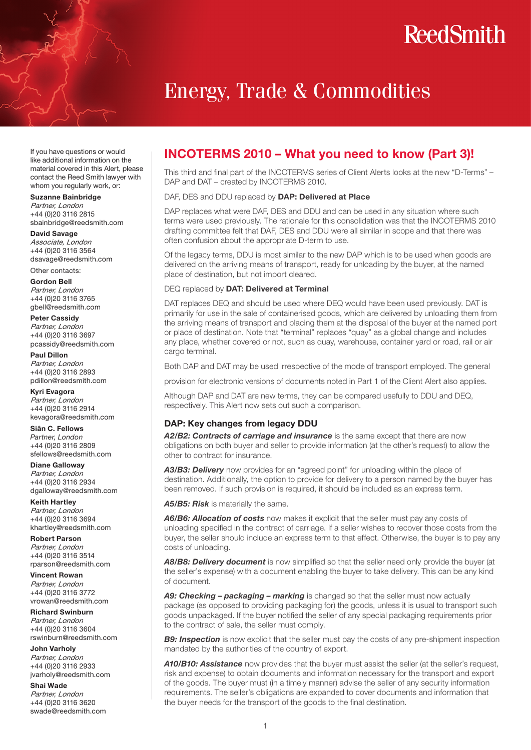# **ReedSmith**

# Energy, Trade & Commodities

If you have questions or would like additional information on the material covered in this Alert, please contact the Reed Smith lawyer with whom you regularly work, or:

#### Suzanne Bainbridge

Partner, London +44 (0)20 3116 2815 sbainbridge@reedsmith.com

#### David Savage

Associate, London +44 (0)20 3116 3564 dsavage@reedsmith.com

Other contacts:

Gordon Bell Partner, London +44 (0)20 3116 3765 gbell@reedsmith.com

#### Peter Cassidy Partner, London

+44 (0)20 3116 3697 pcassidy@reedsmith.com

Paul Dillon Partner, London +44 (0)20 3116 2893 pdillon@reedsmith.com

Kyri Evagora Partner, London +44 (0)20 3116 2914 kevagora@reedsmith.com

Siân C. Fellows *Partner, London* +44 (0)20 3116 2809 sfellows@reedsmith.com

Diane Galloway Partner, London +44 (0)20 3116 2934 dgalloway@reedsmith.com

Keith Hartley Partner, London +44 (0)20 3116 3694 khartley@reedsmith.com

Robert Parson Partner, London +44 (0)20 3116 3514 rparson@reedsmith.com

Vincent Rowan Partner, London +44 (0)20 3116 3772 vrowan@reedsmith.com

Richard Swinburn Partner, London +44 (0)20 3116 3604 rswinburn@reedsmith.com

John Varholy Partner, London +44 (0)20 3116 2933 jvarholy@reedsmith.com

Shai Wade

Partner, London +44 (0)20 3116 3620 swade@reedsmith.com

# INCOTERMS 2010 – What you need to know (Part 3)!

This third and final part of the INCOTERMS series of Client Alerts looks at the new "D-Terms" – DAP and DAT – created by INCOTERMS 2010.

#### DAF, DES and DDU replaced by DAP: Delivered at Place

DAP replaces what were DAF, DES and DDU and can be used in any situation where such terms were used previously. The rationale for this consolidation was that the INCOTERMS 2010 drafting committee felt that DAF, DES and DDU were all similar in scope and that there was often confusion about the appropriate D-term to use.

Of the legacy terms, DDU is most similar to the new DAP which is to be used when goods are delivered on the arriving means of transport, ready for unloading by the buyer, at the named place of destination, but not import cleared.

#### DEQ replaced by DAT: Delivered at Terminal

DAT replaces DEQ and should be used where DEQ would have been used previously. DAT is primarily for use in the sale of containerised goods, which are delivered by unloading them from the arriving means of transport and placing them at the disposal of the buyer at the named port or place of destination. Note that "terminal" replaces "quay" as a global change and includes any place, whether covered or not, such as quay, warehouse, container yard or road, rail or air cargo terminal.

Both DAP and DAT may be used irrespective of the mode of transport employed. The general

provision for electronic versions of documents noted in Part 1 of the Client Alert also applies.

Although DAP and DAT are new terms, they can be compared usefully to DDU and DEQ, respectively. This Alert now sets out such a comparison.

### DAP: Key changes from legacy DDU

*A2/B2: Contracts of carriage and insurance* is the same except that there are now obligations on both buyer and seller to provide information (at the other's request) to allow the other to contract for insurance.

**A3/B3: Delivery** now provides for an "agreed point" for unloading within the place of destination. Additionally, the option to provide for delivery to a person named by the buyer has been removed. If such provision is required, it should be included as an express term.

*A5/B5: Risk* is materially the same.

**A6/B6: Allocation of costs** now makes it explicit that the seller must pay any costs of unloading specified in the contract of carriage. If a seller wishes to recover those costs from the buyer, the seller should include an express term to that effect. Otherwise, the buyer is to pay any costs of unloading.

A8/B8: Delivery document is now simplified so that the seller need only provide the buyer (at the seller's expense) with a document enabling the buyer to take delivery. This can be any kind of document.

*A9: Checking – packaging – marking* is changed so that the seller must now actually package (as opposed to providing packaging for) the goods, unless it is usual to transport such goods unpackaged. If the buyer notified the seller of any special packaging requirements prior to the contract of sale, the seller must comply.

**B9: Inspection** is now explicit that the seller must pay the costs of any pre-shipment inspection mandated by the authorities of the country of export.

*A10/B10: Assistance* now provides that the buyer must assist the seller (at the seller's request, risk and expense) to obtain documents and information necessary for the transport and export of the goods. The buyer must (in a timely manner) advise the seller of any security information requirements. The seller's obligations are expanded to cover documents and information that the buyer needs for the transport of the goods to the final destination.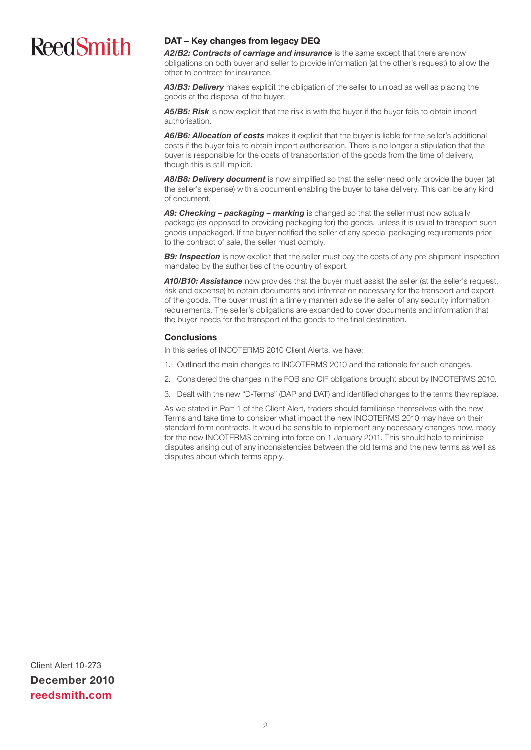# **ReedSmith**

## DAT – Key changes from legacy DEQ

*A2/B2: Contracts of carriage and insurance* is the same except that there are now obligations on both buyer and seller to provide information (at the other's request) to allow the other to contract for insurance.

*A3/B3: Delivery* makes explicit the obligation of the seller to unload as well as placing the goods at the disposal of the buyer.

A5/B5: Risk is now explicit that the risk is with the buyer if the buyer fails to obtain import authorisation.

*A6/B6: Allocation of costs* makes it explicit that the buyer is liable for the seller's additional costs if the buyer fails to obtain import authorisation. There is no longer a stipulation that the buyer is responsible for the costs of transportation of the goods from the time of delivery, though this is still implicit.

A8/B8: Delivery document is now simplified so that the seller need only provide the buyer (at the seller's expense) with a document enabling the buyer to take delivery. This can be any kind of document.

*A9: Checking – packaging – marking* is changed so that the seller must now actually package (as opposed to providing packaging for) the goods, unless it is usual to transport such goods unpackaged. If the buyer notified the seller of any special packaging requirements prior to the contract of sale, the seller must comply.

**B9: Inspection** is now explicit that the seller must pay the costs of any pre-shipment inspection mandated by the authorities of the country of export.

**A10/B10: Assistance** now provides that the buyer must assist the seller (at the seller's request, risk and expense) to obtain documents and information necessary for the transport and export of the goods. The buyer must (in a timely manner) advise the seller of any security information requirements. The seller's obligations are expanded to cover documents and information that the buyer needs for the transport of the goods to the final destination.

### **Conclusions**

In this series of INCOTERMS 2010 Client Alerts, we have:

- 1. Outlined the main changes to INCOTERMS 2010 and the rationale for such changes.
- 2. Considered the changes in the FOB and CIF obligations brought about by INCOTERMS 2010.
- 3. Dealt with the new "D-Terms" (DAP and DAT) and identified changes to the terms they replace.

As we stated in Part 1 of the Client Alert, traders should familiarise themselves with the new Terms and take time to consider what impact the new INCOTERMS 2010 may have on their standard form contracts. It would be sensible to implement any necessary changes now, ready for the new INCOTERMS coming into force on 1 January 2011. This should help to minimise disputes arising out of any inconsistencies between the old terms and the new terms as well as disputes about which terms apply.

Client Alert 10-273 December 2010 reedsmith.com